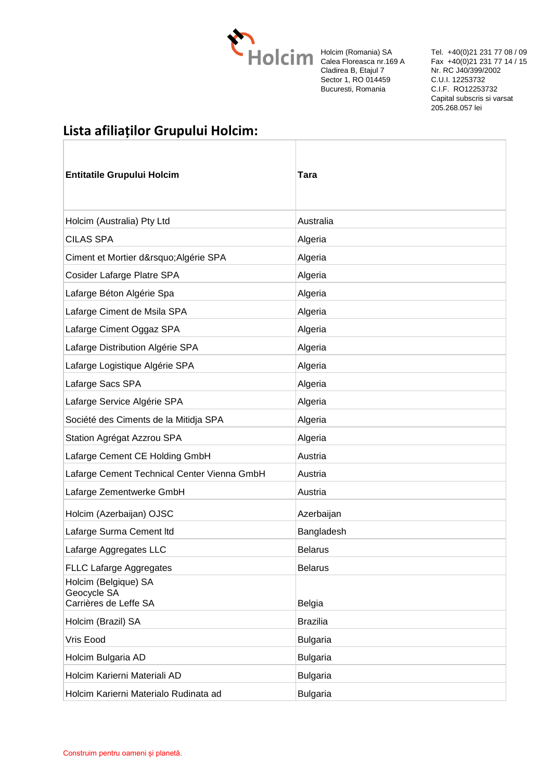

Holcim (Romania) SA Calea Floreasca nr.169 A Cladirea B, Etajul 7 Sector 1, RO 014459 Bucuresti, Romania

Tel. +40(0)21 231 77 08 / 09 Fax +40(0)21 231 77 14 / 15 Nr. RC J40/399/2002 C.U.I. 12253732 C.I.F. RO12253732 Capital subscris si varsat 205.268.057 lei

## **Lista afiliaților Grupului Holcim:**

| <b>Entitatile Grupului Holcim</b>                            | <b>Tara</b>     |
|--------------------------------------------------------------|-----------------|
| Holcim (Australia) Pty Ltd                                   | Australia       |
| <b>CILAS SPA</b>                                             | Algeria         |
| Ciment et Mortier d' Algérie SPA                             | Algeria         |
| Cosider Lafarge Platre SPA                                   | Algeria         |
| Lafarge Béton Algérie Spa                                    | Algeria         |
| Lafarge Ciment de Msila SPA                                  | Algeria         |
| Lafarge Ciment Oggaz SPA                                     | Algeria         |
| Lafarge Distribution Algérie SPA                             | Algeria         |
| Lafarge Logistique Algérie SPA                               | Algeria         |
| Lafarge Sacs SPA                                             | Algeria         |
| Lafarge Service Algérie SPA                                  | Algeria         |
| Société des Ciments de la Mitidja SPA                        | Algeria         |
| Station Agrégat Azzrou SPA                                   | Algeria         |
| Lafarge Cement CE Holding GmbH                               | Austria         |
| Lafarge Cement Technical Center Vienna GmbH                  | Austria         |
| Lafarge Zementwerke GmbH                                     | Austria         |
| Holcim (Azerbaijan) OJSC                                     | Azerbaijan      |
| Lafarge Surma Cement Itd                                     | Bangladesh      |
| Lafarge Aggregates LLC                                       | <b>Belarus</b>  |
| <b>FLLC Lafarge Aggregates</b>                               | <b>Belarus</b>  |
| Holcim (Belgique) SA<br>Geocycle SA<br>Carrières de Leffe SA | <b>Belgia</b>   |
| Holcim (Brazil) SA                                           | <b>Brazilia</b> |
| Vris Eood                                                    | <b>Bulgaria</b> |
| Holcim Bulgaria AD                                           | <b>Bulgaria</b> |
| Holcim Karierni Materiali AD                                 | <b>Bulgaria</b> |
| Holcim Karierni Materialo Rudinata ad                        | <b>Bulgaria</b> |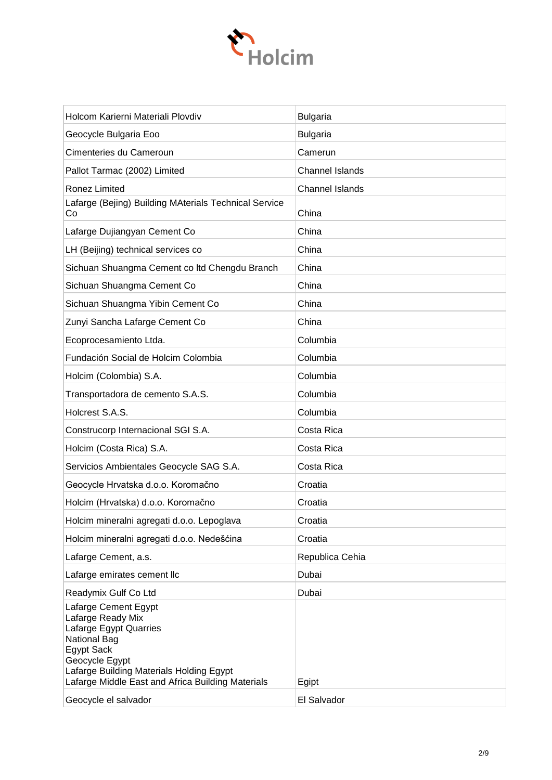

| Holcom Karierni Materiali Plovdiv                                                                                                                                                                                                  | <b>Bulgaria</b>        |
|------------------------------------------------------------------------------------------------------------------------------------------------------------------------------------------------------------------------------------|------------------------|
| Geocycle Bulgaria Eoo                                                                                                                                                                                                              | <b>Bulgaria</b>        |
| Cimenteries du Cameroun                                                                                                                                                                                                            | Camerun                |
| Pallot Tarmac (2002) Limited                                                                                                                                                                                                       | <b>Channel Islands</b> |
| Ronez Limited                                                                                                                                                                                                                      | <b>Channel Islands</b> |
| Lafarge (Bejing) Building MAterials Technical Service<br>Co                                                                                                                                                                        | China                  |
| Lafarge Dujiangyan Cement Co                                                                                                                                                                                                       | China                  |
| LH (Beijing) technical services co                                                                                                                                                                                                 | China                  |
| Sichuan Shuangma Cement co Itd Chengdu Branch                                                                                                                                                                                      | China                  |
| Sichuan Shuangma Cement Co                                                                                                                                                                                                         | China                  |
| Sichuan Shuangma Yibin Cement Co                                                                                                                                                                                                   | China                  |
| Zunyi Sancha Lafarge Cement Co                                                                                                                                                                                                     | China                  |
| Ecoprocesamiento Ltda.                                                                                                                                                                                                             | Columbia               |
| Fundación Social de Holcim Colombia                                                                                                                                                                                                | Columbia               |
| Holcim (Colombia) S.A.                                                                                                                                                                                                             | Columbia               |
| Transportadora de cemento S.A.S.                                                                                                                                                                                                   | Columbia               |
| Holcrest S.A.S.                                                                                                                                                                                                                    | Columbia               |
| Construcorp Internacional SGI S.A.                                                                                                                                                                                                 | Costa Rica             |
| Holcim (Costa Rica) S.A.                                                                                                                                                                                                           | Costa Rica             |
| Servicios Ambientales Geocycle SAG S.A.                                                                                                                                                                                            | Costa Rica             |
| Geocycle Hrvatska d.o.o. Koromačno                                                                                                                                                                                                 | Croatia                |
| Holcim (Hrvatska) d.o.o. Koromačno                                                                                                                                                                                                 | Croatia                |
| Holcim mineralni agregati d.o.o. Lepoglava                                                                                                                                                                                         | Croatia                |
| Holcim mineralni agregati d.o.o. Nedešćina                                                                                                                                                                                         | Croatia                |
| Lafarge Cement, a.s.                                                                                                                                                                                                               | Republica Cehia        |
| Lafarge emirates cement llc                                                                                                                                                                                                        | Dubai                  |
| Readymix Gulf Co Ltd                                                                                                                                                                                                               | Dubai                  |
| Lafarge Cement Egypt<br>Lafarge Ready Mix<br>Lafarge Egypt Quarries<br><b>National Bag</b><br><b>Egypt Sack</b><br>Geocycle Egypt<br>Lafarge Building Materials Holding Egypt<br>Lafarge Middle East and Africa Building Materials | Egipt                  |
| Geocycle el salvador                                                                                                                                                                                                               | El Salvador            |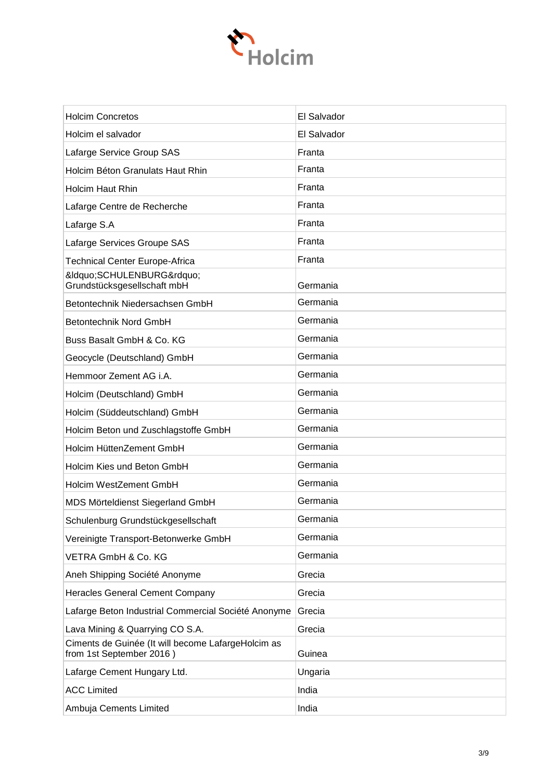

| <b>Holcim Concretos</b>                                                        | El Salvador |
|--------------------------------------------------------------------------------|-------------|
| Holcim el salvador                                                             | El Salvador |
| Lafarge Service Group SAS                                                      | Franta      |
| Holcim Béton Granulats Haut Rhin                                               | Franta      |
| <b>Holcim Haut Rhin</b>                                                        | Franta      |
| Lafarge Centre de Recherche                                                    | Franta      |
| Lafarge S.A                                                                    | Franta      |
| Lafarge Services Groupe SAS                                                    | Franta      |
| <b>Technical Center Europe-Africa</b>                                          | Franta      |
| &IdquoSCHULENBURG"<br>Grundstücksgesellschaft mbH                              | Germania    |
| Betontechnik Niedersachsen GmbH                                                | Germania    |
| Betontechnik Nord GmbH                                                         | Germania    |
| Buss Basalt GmbH & Co. KG                                                      | Germania    |
| Geocycle (Deutschland) GmbH                                                    | Germania    |
| Hemmoor Zement AG i.A.                                                         | Germania    |
| Holcim (Deutschland) GmbH                                                      | Germania    |
| Holcim (Süddeutschland) GmbH                                                   | Germania    |
| Holcim Beton und Zuschlagstoffe GmbH                                           | Germania    |
| Holcim HüttenZement GmbH                                                       | Germania    |
| Holcim Kies und Beton GmbH                                                     | Germania    |
| Holcim WestZement GmbH                                                         | Germania    |
| MDS Mörteldienst Siegerland GmbH                                               | Germania    |
| Schulenburg Grundstückgesellschaft                                             | Germania    |
| Vereinigte Transport-Betonwerke GmbH                                           | Germania    |
| VETRA GmbH & Co. KG                                                            | Germania    |
| Aneh Shipping Société Anonyme                                                  | Grecia      |
| <b>Heracles General Cement Company</b>                                         | Grecia      |
| Lafarge Beton Industrial Commercial Société Anonyme                            | Grecia      |
| Lava Mining & Quarrying CO S.A.                                                | Grecia      |
| Ciments de Guinée (It will become LafargeHolcim as<br>from 1st September 2016) | Guinea      |
| Lafarge Cement Hungary Ltd.                                                    | Ungaria     |
| <b>ACC Limited</b>                                                             | India       |
| Ambuja Cements Limited                                                         | India       |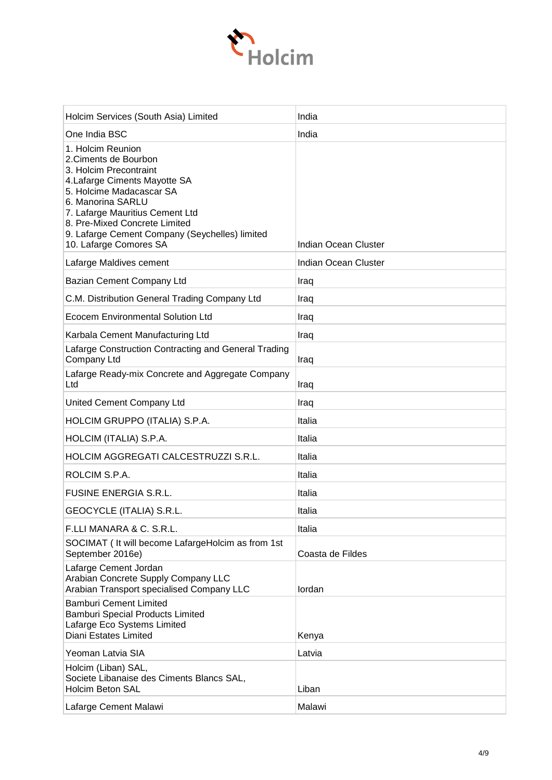

| Holcim Services (South Asia) Limited                                                                                                                                                                                                                                                                   | India                       |
|--------------------------------------------------------------------------------------------------------------------------------------------------------------------------------------------------------------------------------------------------------------------------------------------------------|-----------------------------|
| One India BSC                                                                                                                                                                                                                                                                                          | India                       |
| 1. Holcim Reunion<br>2. Ciments de Bourbon<br>3. Holcim Precontraint<br>4. Lafarge Ciments Mayotte SA<br>5. Holcime Madacascar SA<br>6. Manorina SARLU<br>7. Lafarge Mauritius Cement Ltd<br>8. Pre-Mixed Concrete Limited<br>9. Lafarge Cement Company (Seychelles) limited<br>10. Lafarge Comores SA | Indian Ocean Cluster        |
| Lafarge Maldives cement                                                                                                                                                                                                                                                                                | <b>Indian Ocean Cluster</b> |
| Bazian Cement Company Ltd                                                                                                                                                                                                                                                                              | Iraq                        |
| C.M. Distribution General Trading Company Ltd                                                                                                                                                                                                                                                          | Iraq                        |
| Ecocem Environmental Solution Ltd                                                                                                                                                                                                                                                                      | Iraq                        |
| Karbala Cement Manufacturing Ltd                                                                                                                                                                                                                                                                       | Iraq                        |
| Lafarge Construction Contracting and General Trading<br>Company Ltd                                                                                                                                                                                                                                    | Iraq                        |
| Lafarge Ready-mix Concrete and Aggregate Company<br>Ltd                                                                                                                                                                                                                                                | Iraq                        |
| United Cement Company Ltd                                                                                                                                                                                                                                                                              | Iraq                        |
| HOLCIM GRUPPO (ITALIA) S.P.A.                                                                                                                                                                                                                                                                          | Italia                      |
| HOLCIM (ITALIA) S.P.A.                                                                                                                                                                                                                                                                                 | Italia                      |
| HOLCIM AGGREGATI CALCESTRUZZI S.R.L.                                                                                                                                                                                                                                                                   | Italia                      |
| ROLCIM S.P.A.                                                                                                                                                                                                                                                                                          | Italia                      |
| <b>FUSINE ENERGIA S.R.L.</b>                                                                                                                                                                                                                                                                           | Italia                      |
| GEOCYCLE (ITALIA) S.R.L.                                                                                                                                                                                                                                                                               | Italia                      |
| F.LLI MANARA & C. S.R.L.                                                                                                                                                                                                                                                                               | Italia                      |
| SOCIMAT ( It will become LafargeHolcim as from 1st<br>September 2016e)                                                                                                                                                                                                                                 | Coasta de Fildes            |
| Lafarge Cement Jordan<br>Arabian Concrete Supply Company LLC<br>Arabian Transport specialised Company LLC                                                                                                                                                                                              | lordan                      |
| <b>Bamburi Cement Limited</b><br><b>Bamburi Special Products Limited</b><br>Lafarge Eco Systems Limited<br>Diani Estates Limited                                                                                                                                                                       | Kenya                       |
| Yeoman Latvia SIA                                                                                                                                                                                                                                                                                      | Latvia                      |
| Holcim (Liban) SAL,<br>Societe Libanaise des Ciments Blancs SAL,<br><b>Holcim Beton SAL</b>                                                                                                                                                                                                            | Liban                       |
| Lafarge Cement Malawi                                                                                                                                                                                                                                                                                  | Malawi                      |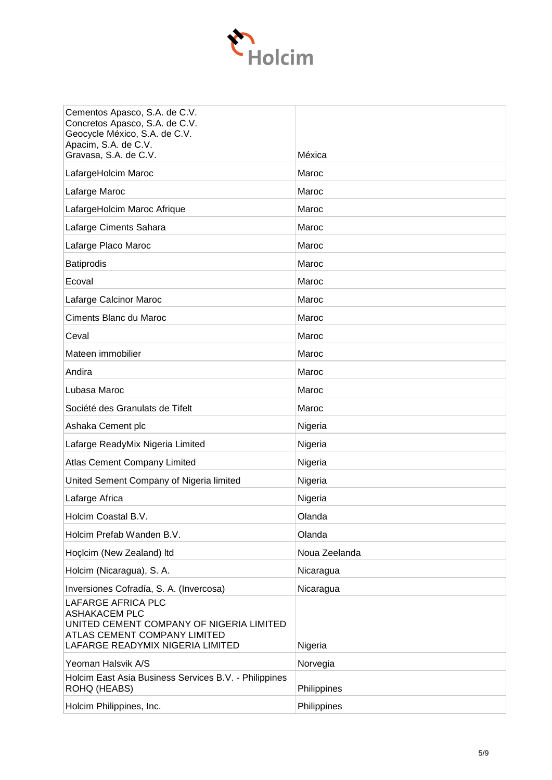

| Cementos Apasco, S.A. de C.V.<br>Concretos Apasco, S.A. de C.V.<br>Geocycle México, S.A. de C.V.<br>Apacim, S.A. de C.V.<br>Gravasa, S.A. de C.V.          | Méxica        |
|------------------------------------------------------------------------------------------------------------------------------------------------------------|---------------|
| LafargeHolcim Maroc                                                                                                                                        | Maroc         |
| Lafarge Maroc                                                                                                                                              | Maroc         |
| LafargeHolcim Maroc Afrique                                                                                                                                | Maroc         |
| Lafarge Ciments Sahara                                                                                                                                     | Maroc         |
| Lafarge Placo Maroc                                                                                                                                        | Maroc         |
| <b>Batiprodis</b>                                                                                                                                          | Maroc         |
| Ecoval                                                                                                                                                     | Maroc         |
| Lafarge Calcinor Maroc                                                                                                                                     | Maroc         |
| Ciments Blanc du Maroc                                                                                                                                     | Maroc         |
| Ceval                                                                                                                                                      | Maroc         |
| Mateen immobilier                                                                                                                                          | Maroc         |
| Andira                                                                                                                                                     | Maroc         |
| Lubasa Maroc                                                                                                                                               | Maroc         |
| Société des Granulats de Tifelt                                                                                                                            | Maroc         |
| Ashaka Cement plc                                                                                                                                          | Nigeria       |
| Lafarge ReadyMix Nigeria Limited                                                                                                                           | Nigeria       |
| <b>Atlas Cement Company Limited</b>                                                                                                                        | Nigeria       |
| United Sement Company of Nigeria limited                                                                                                                   | Nigeria       |
| Lafarge Africa                                                                                                                                             | Nigeria       |
| Holcim Coastal B.V.                                                                                                                                        | Olanda        |
| Holcim Prefab Wanden B.V.                                                                                                                                  | Olanda        |
| Hoclcim (New Zealand) Itd                                                                                                                                  | Noua Zeelanda |
| Holcim (Nicaragua), S. A.                                                                                                                                  | Nicaragua     |
| Inversiones Cofradía, S. A. (Invercosa)                                                                                                                    | Nicaragua     |
| LAFARGE AFRICA PLC<br><b>ASHAKACEM PLC</b><br>UNITED CEMENT COMPANY OF NIGERIA LIMITED<br>ATLAS CEMENT COMPANY LIMITED<br>LAFARGE READYMIX NIGERIA LIMITED | Nigeria       |
| Yeoman Halsvik A/S                                                                                                                                         | Norvegia      |
| Holcim East Asia Business Services B.V. - Philippines<br>ROHQ (HEABS)                                                                                      | Philippines   |
| Holcim Philippines, Inc.                                                                                                                                   | Philippines   |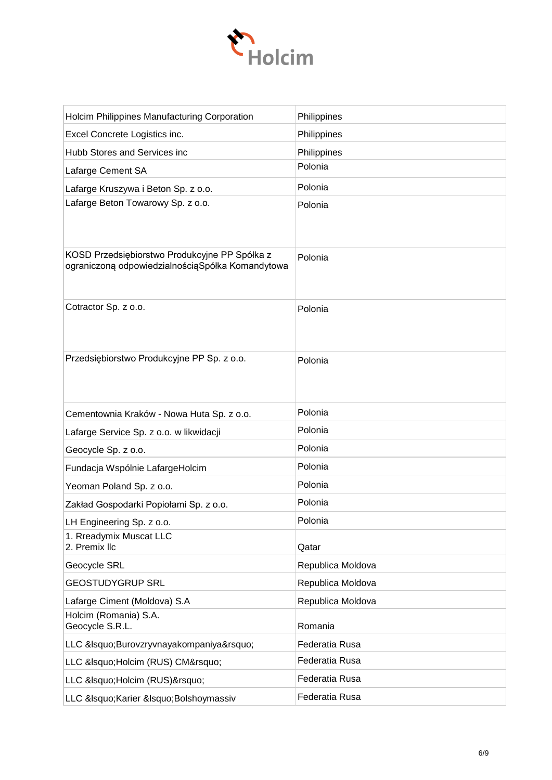

| Holcim Philippines Manufacturing Corporation                                                      | Philippines       |
|---------------------------------------------------------------------------------------------------|-------------------|
| Excel Concrete Logistics inc.                                                                     | Philippines       |
| Hubb Stores and Services inc                                                                      | Philippines       |
| Lafarge Cement SA                                                                                 | Polonia           |
| Lafarge Kruszywa i Beton Sp. z o.o.                                                               | Polonia           |
| Lafarge Beton Towarowy Sp. z o.o.                                                                 | Polonia           |
| KOSD Przedsiębiorstwo Produkcyjne PP Spółka z<br>ograniczoną odpowiedzialnościąSpółka Komandytowa | Polonia           |
| Cotractor Sp. z o.o.                                                                              | Polonia           |
| Przedsiębiorstwo Produkcyjne PP Sp. z o.o.                                                        | Polonia           |
| Cementownia Kraków - Nowa Huta Sp. z o.o.                                                         | Polonia           |
|                                                                                                   | Polonia           |
| Lafarge Service Sp. z o.o. w likwidacji                                                           |                   |
| Geocycle Sp. z o.o.                                                                               | Polonia           |
| Fundacja Wspólnie LafargeHolcim                                                                   | Polonia           |
| Yeoman Poland Sp. z o.o.                                                                          | Polonia           |
| Zakład Gospodarki Popiołami Sp. z o.o.                                                            | Polonia           |
| LH Engineering Sp. z o.o.                                                                         | Polonia           |
| 1. Rreadymix Muscat LLC<br>2. Premix llc                                                          | Qatar             |
| Geocycle SRL                                                                                      | Republica Moldova |
| <b>GEOSTUDYGRUP SRL</b>                                                                           | Republica Moldova |
| Lafarge Ciment (Moldova) S.A                                                                      | Republica Moldova |
| Holcim (Romania) S.A.<br>Geocycle S.R.L.                                                          | Romania           |
| LLC &Isquo Burovzryvnayakompaniya'                                                                | Federatia Rusa    |
| LLC ' Holcim (RUS) CM'                                                                            | Federatia Rusa    |
| LLC ' Holcim (RUS) '                                                                              | Federatia Rusa    |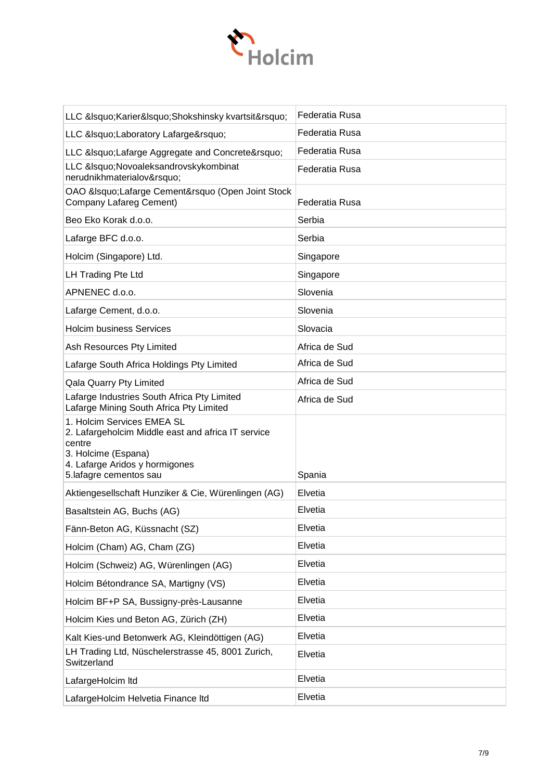

| LLC &Isquo Karier&Isquo Shokshinsky kvartsit'                                                                                                                                 | Federatia Rusa |
|-------------------------------------------------------------------------------------------------------------------------------------------------------------------------------|----------------|
| LLC &IsquoLaboratory Lafarge'                                                                                                                                                 | Federatia Rusa |
| LLC &IsquoLafarge Aggregate and Concrete'                                                                                                                                     | Federatia Rusa |
| LLC &Isquo Novoaleksandrovsky kombinat<br>nerudnikhmaterialov'                                                                                                                | Federatia Rusa |
| OAO &IsquoLafarge Cement’ (Open Joint Stock<br><b>Company Lafareg Cement)</b>                                                                                                 | Federatia Rusa |
| Beo Eko Korak d.o.o.                                                                                                                                                          | Serbia         |
| Lafarge BFC d.o.o.                                                                                                                                                            | Serbia         |
| Holcim (Singapore) Ltd.                                                                                                                                                       | Singapore      |
| LH Trading Pte Ltd                                                                                                                                                            | Singapore      |
| APNENEC d.o.o.                                                                                                                                                                | Slovenia       |
| Lafarge Cement, d.o.o.                                                                                                                                                        | Slovenia       |
| <b>Holcim business Services</b>                                                                                                                                               | Slovacia       |
| Ash Resources Pty Limited                                                                                                                                                     | Africa de Sud  |
| Lafarge South Africa Holdings Pty Limited                                                                                                                                     | Africa de Sud  |
| Qala Quarry Pty Limited                                                                                                                                                       | Africa de Sud  |
| Lafarge Industries South Africa Pty Limited<br>Lafarge Mining South Africa Pty Limited                                                                                        | Africa de Sud  |
| 1. Holcim Services EMEA SL<br>2. Lafargeholcim Middle east and africa IT service<br>centre<br>3. Holcime (Espana)<br>4. Lafarge Aridos y hormigones<br>5.lafagre cementos sau | Spania         |
| Aktiengesellschaft Hunziker & Cie, Würenlingen (AG)                                                                                                                           | Elvetia        |
| Basaltstein AG, Buchs (AG)                                                                                                                                                    | Elvetia        |
| Fänn-Beton AG, Küssnacht (SZ)                                                                                                                                                 | Elvetia        |
| Holcim (Cham) AG, Cham (ZG)                                                                                                                                                   | Elvetia        |
| Holcim (Schweiz) AG, Würenlingen (AG)                                                                                                                                         | Elvetia        |
| Holcim Bétondrance SA, Martigny (VS)                                                                                                                                          | Elvetia        |
| Holcim BF+P SA, Bussigny-près-Lausanne                                                                                                                                        | Elvetia        |
| Holcim Kies und Beton AG, Zürich (ZH)                                                                                                                                         | Elvetia        |
| Kalt Kies-und Betonwerk AG, Kleindöttigen (AG)                                                                                                                                | Elvetia        |
| LH Trading Ltd, Nüschelerstrasse 45, 8001 Zurich,<br>Switzerland                                                                                                              | Elvetia        |
| LafargeHolcim Itd                                                                                                                                                             | Elvetia        |
| LafargeHolcim Helvetia Finance Itd                                                                                                                                            | Elvetia        |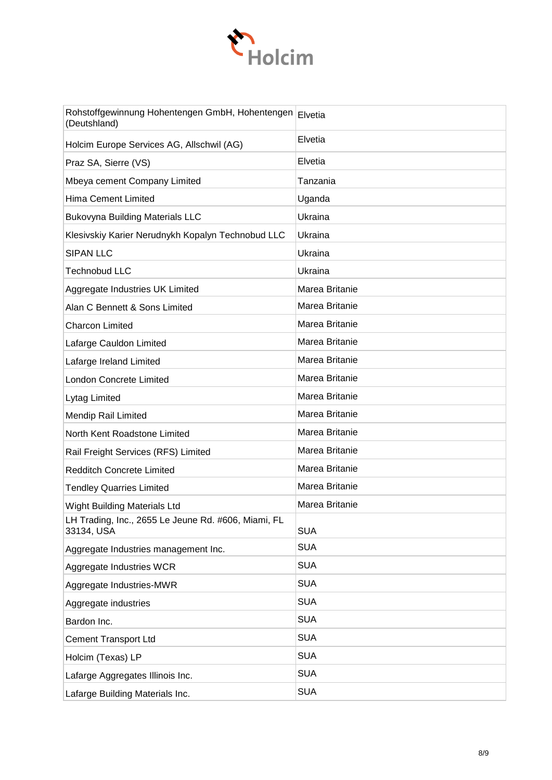

| Rohstoffgewinnung Hohentengen GmbH, Hohentengen Elvetia<br>(Deutshland) |                |
|-------------------------------------------------------------------------|----------------|
| Holcim Europe Services AG, Allschwil (AG)                               | Elvetia        |
| Praz SA, Sierre (VS)                                                    | Elvetia        |
| Mbeya cement Company Limited                                            | Tanzania       |
| <b>Hima Cement Limited</b>                                              | Uganda         |
| <b>Bukovyna Building Materials LLC</b>                                  | Ukraina        |
| Klesivskiy Karier Nerudnykh Kopalyn Technobud LLC                       | Ukraina        |
| <b>SIPAN LLC</b>                                                        | Ukraina        |
| <b>Technobud LLC</b>                                                    | Ukraina        |
| Aggregate Industries UK Limited                                         | Marea Britanie |
| Alan C Bennett & Sons Limited                                           | Marea Britanie |
| <b>Charcon Limited</b>                                                  | Marea Britanie |
| Lafarge Cauldon Limited                                                 | Marea Britanie |
| Lafarge Ireland Limited                                                 | Marea Britanie |
| <b>London Concrete Limited</b>                                          | Marea Britanie |
| Lytag Limited                                                           | Marea Britanie |
| <b>Mendip Rail Limited</b>                                              | Marea Britanie |
| North Kent Roadstone Limited                                            | Marea Britanie |
| Rail Freight Services (RFS) Limited                                     | Marea Britanie |
| <b>Redditch Concrete Limited</b>                                        | Marea Britanie |
| <b>Tendley Quarries Limited</b>                                         | Marea Britanie |
| Wight Building Materials Ltd                                            | Marea Britanie |
| LH Trading, Inc., 2655 Le Jeune Rd. #606, Miami, FL<br>33134, USA       | <b>SUA</b>     |
| Aggregate Industries management Inc.                                    | <b>SUA</b>     |
| Aggregate Industries WCR                                                | <b>SUA</b>     |
| Aggregate Industries-MWR                                                | <b>SUA</b>     |
| Aggregate industries                                                    | <b>SUA</b>     |
| Bardon Inc.                                                             | <b>SUA</b>     |
| <b>Cement Transport Ltd</b>                                             | <b>SUA</b>     |
| Holcim (Texas) LP                                                       | <b>SUA</b>     |
| Lafarge Aggregates Illinois Inc.                                        | <b>SUA</b>     |
| Lafarge Building Materials Inc.                                         | <b>SUA</b>     |